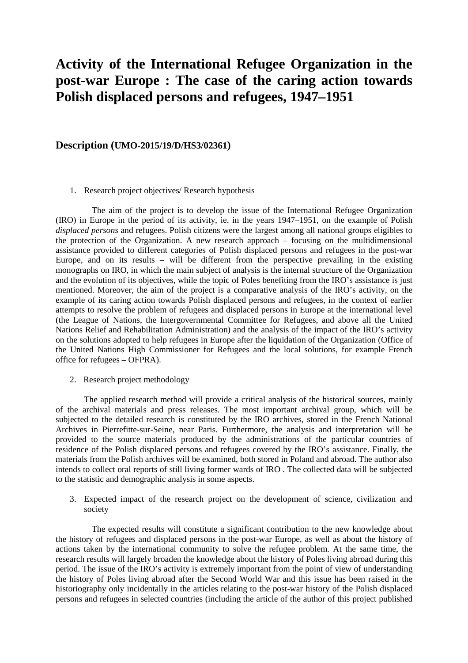# **Activity of the International Refugee Organization in the post-war Europe : The case of the caring action towards Polish displaced persons and refugees, 1947–1951**

### **Description (UMO-2015/19/D/HS3/02361)**

#### 1. Research project objectives/ Research hypothesis

The aim of the project is to develop the issue of the International Refugee Organization (IRO) in Europe in the period of its activity, ie. in the years 1947–1951, on the example of Polish *displaced persons* and refugees. Polish citizens were the largest among all national groups eligibles to the protection of the Organization. A new research approach – focusing on the multidimensional assistance provided to different categories of Polish displaced persons and refugees in the post-war Europe, and on its results – will be different from the perspective prevailing in the existing monographs on IRO, in which the main subject of analysis is the internal structure of the Organization and the evolution of its objectives, while the topic of Poles benefiting from the IRO's assistance is just mentioned. Moreover, the aim of the project is a comparative analysis of the IRO's activity, on the example of its caring action towards Polish displaced persons and refugees, in the context of earlier attempts to resolve the problem of refugees and displaced persons in Europe at the international level (the League of Nations, the Intergovernmental Committee for Refugees, and above all the United Nations Relief and Rehabilitation Administration) and the analysis of the impact of the IRO's activity on the solutions adopted to help refugees in Europe after the liquidation of the Organization (Office of the United Nations High Commissioner for Refugees and the local solutions, for example French office for refugees – OFPRA).

#### 2. Research project methodology

The applied research method will provide a critical analysis of the historical sources, mainly of the archival materials and press releases. The most important archival group, which will be subjected to the detailed research is constituted by the IRO archives, stored in the French National Archives in Pierrefitte-sur-Seine, near Paris. Furthermore, the analysis and interpretation will be provided to the source materials produced by the administrations of the particular countries of residence of the Polish displaced persons and refugees covered by the IRO's assistance. Finally, the materials from the Polish archives will be examined, both stored in Poland and abroad. The author also intends to collect oral reports of still living former wards of IRO . The collected data will be subjected to the statistic and demographic analysis in some aspects.

3. Expected impact of the research project on the development of science, civilization and society

 The expected results will constitute a significant contribution to the new knowledge about the history of refugees and displaced persons in the post-war Europe, as well as about the history of actions taken by the international community to solve the refugee problem. At the same time, the research results will largely broaden the knowledge about the history of Poles living abroad during this period. The issue of the IRO's activity is extremely important from the point of view of understanding the history of Poles living abroad after the Second World War and this issue has been raised in the historiography only incidentally in the articles relating to the post-war history of the Polish displaced persons and refugees in selected countries (including the article of the author of this project published